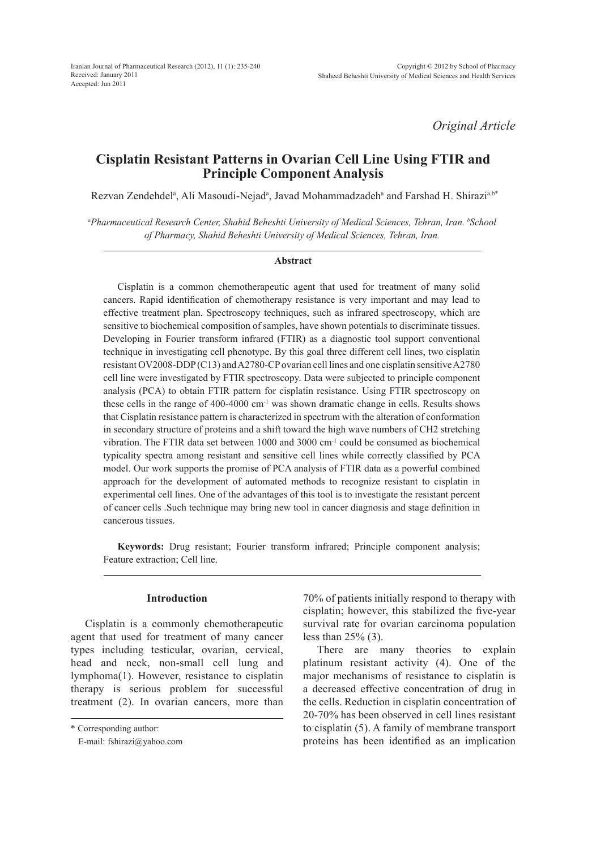*Original Article*

# **Cisplatin Resistant Patterns in Ovarian Cell Line Using FTIR and Principle Component Analysis**

Rezvan Zendehdel<sup>a</sup>, Ali Masoudi-Nejad<sup>a</sup>, Javad Mohammadzadeh<sup>a</sup> and Farshad H. Shirazi<sup>a,b\*</sup>

*a Pharmaceutical Research Center, Shahid Beheshti University of Medical Sciences, Tehran, Iran. b School of Pharmacy, Shahid Beheshti University of Medical Sciences, Tehran, Iran.*

#### **Abstract**

Cisplatin is a common chemotherapeutic agent that used for treatment of many solid cancers. Rapid identification of chemotherapy resistance is very important and may lead to effective treatment plan. Spectroscopy techniques, such as infrared spectroscopy, which are sensitive to biochemical composition of samples, have shown potentials to discriminate tissues. Developing in Fourier transform infrared (FTIR) as a diagnostic tool support conventional technique in investigating cell phenotype. By this goal three different cell lines, two cisplatin resistant OV2008-DDP (C13) and A2780-CP ovarian cell lines and one cisplatin sensitive A2780 cell line were investigated by FTIR spectroscopy. Data were subjected to principle component analysis (PCA) to obtain FTIR pattern for cisplatin resistance. Using FTIR spectroscopy on these cells in the range of 400-4000 cm<sup>-1</sup> was shown dramatic change in cells. Results shows that Cisplatin resistance pattern is characterized in spectrum with the alteration of conformation in secondary structure of proteins and a shift toward the high wave numbers of CH2 stretching vibration. The FTIR data set between 1000 and 3000 cm-1 could be consumed as biochemical typicality spectra among resistant and sensitive cell lines while correctly classified by PCA model. Our work supports the promise of PCA analysis of FTIR data as a powerful combined approach for the development of automated methods to recognize resistant to cisplatin in experimental cell lines. One of the advantages of this tool is to investigate the resistant percent of cancer cells .Such technique may bring new tool in cancer diagnosis and stage definition in cancerous tissues.

**Keywords:** Drug resistant; Fourier transform infrared; Principle component analysis; Feature extraction; Cell line.

# **Introduction**

Cisplatin is a commonly chemotherapeutic agent that used for treatment of many cancer types including testicular, ovarian, cervical, head and neck, non-small cell lung and lymphoma(1). However, resistance to cisplatin therapy is serious problem for successful treatment (2). In ovarian cancers, more than 70% of patients initially respond to therapy with cisplatin; however, this stabilized the five-year survival rate for ovarian carcinoma population less than  $25\%$  (3).

There are many theories to explain platinum resistant activity (4). One of the major mechanisms of resistance to cisplatin is a decreased effective concentration of drug in the cells. Reduction in cisplatin concentration of 20-70% has been observed in cell lines resistant to cisplatin (5). A family of membrane transport proteins has been identified as an implication

<sup>\*</sup> Corresponding author:

E-mail: fshirazi@yahoo.com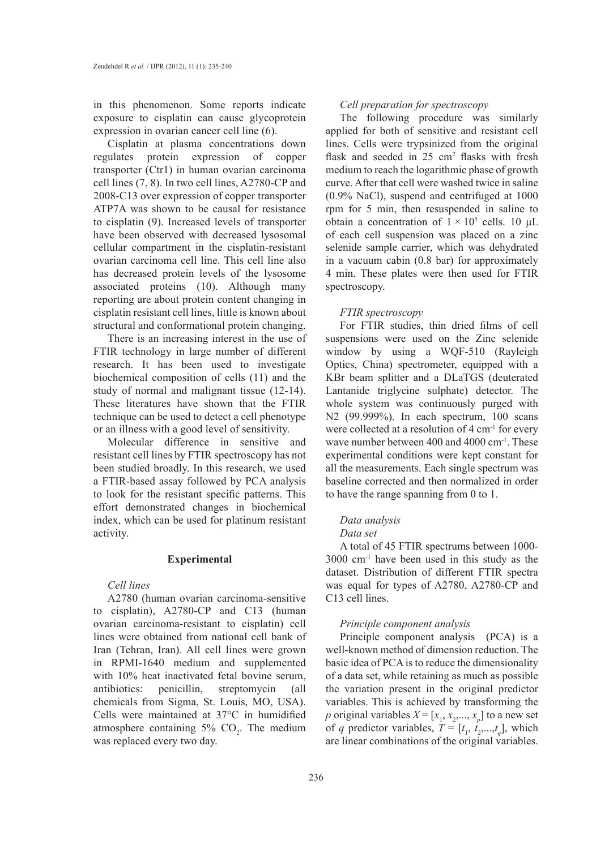in this phenomenon. Some reports indicate exposure to cisplatin can cause glycoprotein expression in ovarian cancer cell line (6).

Cisplatin at plasma concentrations down regulates protein expression of copper transporter (Ctr1) in human ovarian carcinoma cell lines (7, 8). In two cell lines, A2780-CP and 2008-C13 over expression of copper transporter ATP7A was shown to be causal for resistance to cisplatin (9). Increased levels of transporter have been observed with decreased lysosomal cellular compartment in the cisplatin-resistant ovarian carcinoma cell line. This cell line also has decreased protein levels of the lysosome associated proteins (10). Although many reporting are about protein content changing in cisplatin resistant cell lines, little is known about structural and conformational protein changing.

There is an increasing interest in the use of FTIR technology in large number of different research. It has been used to investigate biochemical composition of cells (11) and the study of normal and malignant tissue (12-14). These literatures have shown that the FTIR technique can be used to detect a cell phenotype or an illness with a good level of sensitivity.

Molecular difference in sensitive and resistant cell lines by FTIR spectroscopy has not been studied broadly. In this research, we used a FTIR-based assay followed by PCA analysis to look for the resistant specific patterns. This effort demonstrated changes in biochemical index, which can be used for platinum resistant activity.

## **Experimental**

## *Cell lines*

A2780 (human ovarian carcinoma-sensitive to cisplatin), A2780-CP and C13 (human ovarian carcinoma-resistant to cisplatin) cell lines were obtained from national cell bank of Iran (Tehran, Iran). All cell lines were grown in RPMI-1640 medium and supplemented with  $10\%$  heat inactivated fetal bovine serum, antibiotics: penicillin, streptomycin (all chemicals from Sigma, St. Louis, MO, USA). Cells were maintained at 37°C in humidified atmosphere containing  $5\%$  CO<sub>2</sub>. The medium was replaced every two day.

#### *Cell preparation for spectroscopy*

The following procedure was similarly applied for both of sensitive and resistant cell lines. Cells were trypsinized from the original flask and seeded in  $25 \text{ cm}^2$  flasks with fresh medium to reach the logarithmic phase of growth curve. After that cell were washed twice in saline (0.9% NaCl), suspend and centrifuged at 1000 rpm for 5 min, then resuspended in saline to obtain a concentration of  $1 \times 10^5$  cells. 10 µL of each cell suspension was placed on a zinc selenide sample carrier, which was dehydrated in a vacuum cabin (0.8 bar) for approximately 4 min. These plates were then used for FTIR spectroscopy.

#### *FTIR spectroscopy*

For FTIR studies, thin dried films of cell suspensions were used on the Zinc selenide window by using a WQF-510 (Rayleigh Optics, China) spectrometer, equipped with a KBr beam splitter and a DLaTGS (deuterated Lantanide triglycine sulphate) detector. The whole system was continuously purged with N2 (99.999%). In each spectrum, 100 scans were collected at a resolution of 4 cm<sup>-1</sup> for every wave number between 400 and 4000 cm<sup>-1</sup>. These experimental conditions were kept constant for all the measurements. Each single spectrum was baseline corrected and then normalized in order to have the range spanning from 0 to 1.

## *Data analysis*

#### *Data set*

A total of 45 FTIR spectrums between 1000- 3000 cm-1 have been used in this study as the dataset. Distribution of different FTIR spectra was equal for types of A2780, A2780-CP and C13 cell lines.

#### *Principle component analysis*

Principle component analysis (PCA) is a well-known method of dimension reduction. The basic idea of PCA is to reduce the dimensionality of a data set, while retaining as much as possible the variation present in the original predictor variables. This is achieved by transforming the *p* original variables  $X = [x_1, x_2, \dots, x_p]$  to a new set of *q* predictor variables,  $T = [t_1, t_2, \ldots, t_q]$ , which are linear combinations of the original variables.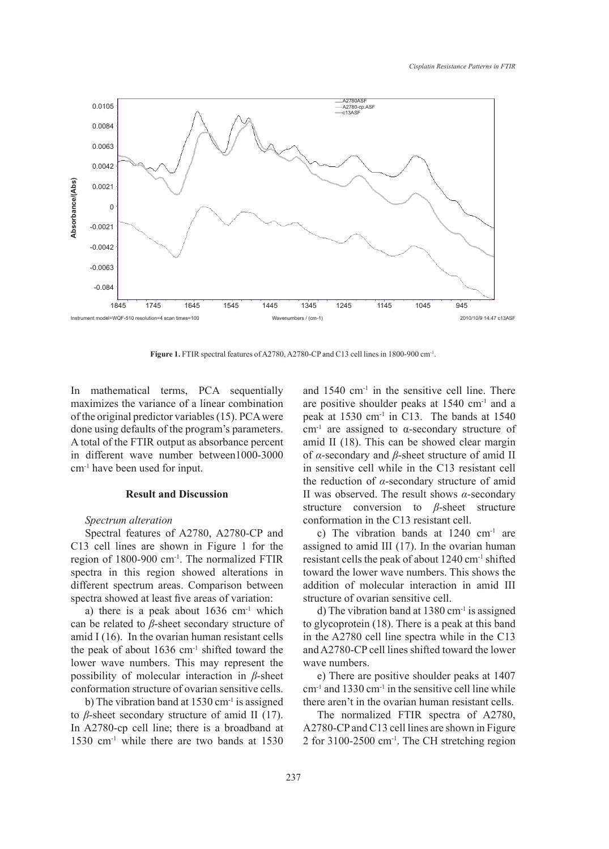

Figure 1. FTIR spectral features of A2780, A2780-CP and C13 cell lines in 1800-900 cm<sup>-1</sup>.

In mathematical terms, PCA sequentially maximizes the variance of a linear combination of the original predictor variables (15). PCA were done using defaults of the program's parameters. A total of the FTIR output as absorbance percent in different wave number between1000-3000 cm-1 have been used for input.

## **Result and Discussion**

## *Spectrum alteration*

Spectral features of A2780, A2780-CP and C13 cell lines are shown in Figure 1 for the region of 1800-900 cm-1. The normalized FTIR spectra in this region showed alterations in different spectrum areas. Comparison between spectra showed at least five areas of variation:

a) there is a peak about  $1636 \text{ cm}^{-1}$  which can be related to *β*-sheet secondary structure of amid I (16). In the ovarian human resistant cells the peak of about 1636 cm-1 shifted toward the lower wave numbers. This may represent the possibility of molecular interaction in *β*-sheet conformation structure of ovarian sensitive cells.

b) The vibration band at 1530 cm-1 is assigned to *β*-sheet secondary structure of amid II (17). In A2780-cp cell line; there is a broadband at 1530 cm-1 while there are two bands at 1530

mathematical terms, PCA sequentially and 1540 cm<sup>-1</sup> in the sensitive cell line. There are positive shoulder peaks at 1540 cm-1 and a peak at 1530 cm-1 in C13. The bands at 1540 cm-1 are assigned to α-secondary structure of amid II (18). This can be showed clear margin of *α*-secondary and *β*-sheet structure of amid II in sensitive cell while in the C13 resistant cell the reduction of *α*-secondary structure of amid II was observed. The result shows *α*-secondary structure conversion to *β*-sheet structure conformation in the C13 resistant cell.

> c) The vibration bands at 1240 cm-1 are assigned to amid III (17). In the ovarian human resistant cells the peak of about 1240 cm-1 shifted toward the lower wave numbers. This shows the addition of molecular interaction in amid III structure of ovarian sensitive cell.

> d) The vibration band at 1380 cm-1 is assigned to glycoprotein (18). There is a peak at this band in the A2780 cell line spectra while in the C13 and A2780-CP cell lines shifted toward the lower wave numbers.

> e) There are positive shoulder peaks at 1407 cm-1 and 1330 cm-1 in the sensitive cell line while there aren't in the ovarian human resistant cells.

> The normalized FTIR spectra of A2780, A2780-CP and C13 cell lines are shown in Figure 2 for 3100-2500 cm-1. The CH stretching region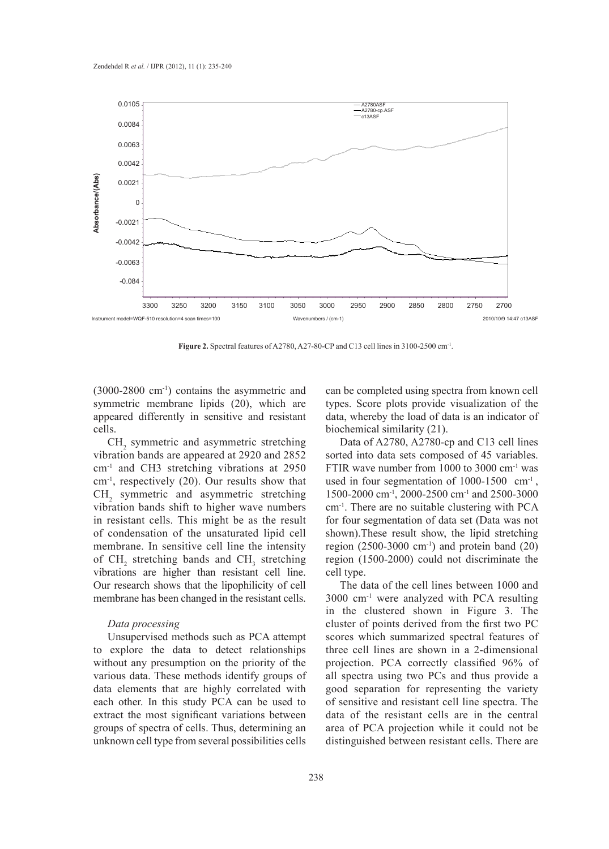

**Figure 2.** Spectral features of A2780, A27-80-CP and C13 cell lines in 3100-2500 cm<sup>-1</sup>.

(3000-2800 cm-1) contains the asymmetric and symmetric membrane lipids (20), which are appeared differently in sensitive and resistant cells.

 $CH<sub>2</sub>$  symmetric and asymmetric stretching vibration bands are appeared at 2920 and 2852 cm-1 and CH3 stretching vibrations at 2950 cm-1, respectively (20). Our results show that  $CH<sub>2</sub>$  symmetric and asymmetric stretching vibration bands shift to higher wave numbers in resistant cells. This might be as the result of condensation of the unsaturated lipid cell membrane. In sensitive cell line the intensity of  $CH_2$  stretching bands and  $CH_3$  stretching vibrations are higher than resistant cell line. Our research shows that the lipophilicity of cell membrane has been changed in the resistant cells.

#### *Data processing*

Unsupervised methods such as PCA attempt to explore the data to detect relationships without any presumption on the priority of the various data. These methods identify groups of data elements that are highly correlated with each other. In this study PCA can be used to extract the most significant variations between groups of spectra of cells. Thus, determining an unknown cell type from several possibilities cells

can be completed using spectra from known cell types. Score plots provide visualization of the data, whereby the load of data is an indicator of biochemical similarity (21).

Data of A2780, A2780-cp and C13 cell lines sorted into data sets composed of 45 variables. FTIR wave number from 1000 to 3000 cm-1 was used in four segmentation of  $1000-1500$  cm<sup>-1</sup>, 1500-2000 cm-1, 2000-2500 cm-1 and 2500-3000 cm-1. There are no suitable clustering with PCA for four segmentation of data set (Data was not shown).These result show, the lipid stretching region  $(2500-3000 \text{ cm}^{-1})$  and protein band  $(20)$ region (1500-2000) could not discriminate the cell type.

The data of the cell lines between 1000 and 3000 cm-1 were analyzed with PCA resulting in the clustered shown in Figure 3. The cluster of points derived from the first two PC scores which summarized spectral features of three cell lines are shown in a 2-dimensional projection. PCA correctly classified 96% of all spectra using two PCs and thus provide a good separation for representing the variety of sensitive and resistant cell line spectra. The data of the resistant cells are in the central area of PCA projection while it could not be distinguished between resistant cells. There are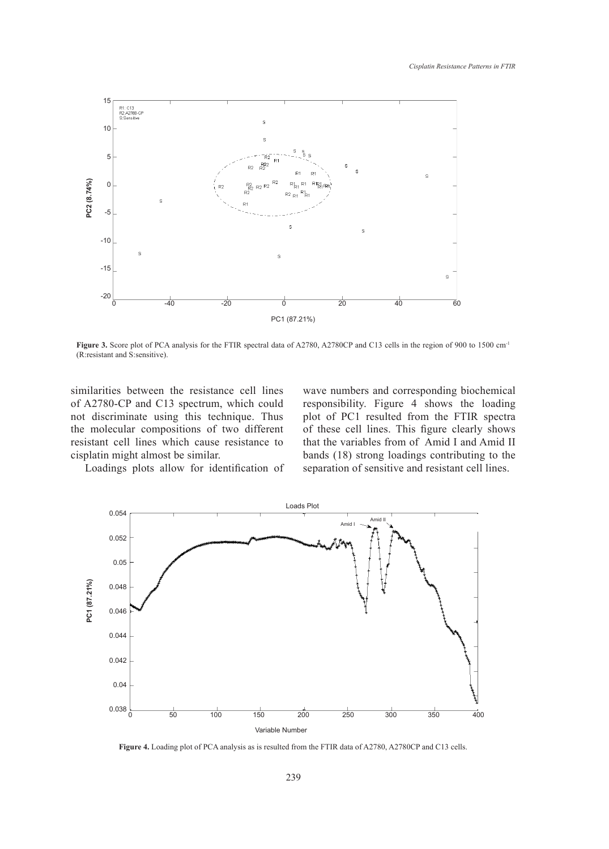

**FIGURE 3.** SCORE 3. SCORE PLOT OF PLOT OF PLOT OF ANALYSIS FOR THE FIGURE 3. SECTION OF A 2780, A2780, A2780, A2780 **Figure 3.** Score plot of PCA analysis for the FTIR spectral data of A2780, A2780CP and C13 cells in the region of 900 to 1500 cm<sup>-1</sup> (R:resistant and S:sensitive).

similarities between the resistance cell lines of A2780-CP and C13 spectrum, which could not discriminate using this technique. Thus the molecular compositions of two different resistant cell lines which cause resistance to cisplatin might almost be similar.

wave numbers and corresponding biochemical responsibility. Figure 4 shows the loading plot of PC1 resulted from the FTIR spectra of these cell lines. This figure clearly shows that the variables from of Amid I and Amid II bands (18) strong loadings contributing to the separation of sensitive and resistant cell lines.

Loadings plots allow for identification of



**Figure 4.** Loading plot of PCA analysis as is resulted from the FTIR data of A2780, A2780CP and C13 cells.